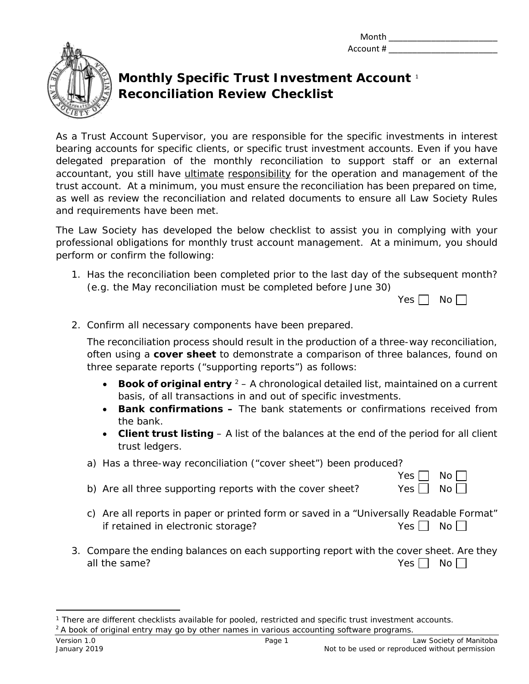Month \_\_\_\_\_\_\_\_\_\_\_\_\_\_\_\_\_\_\_\_\_\_\_ Account # \_\_\_\_\_\_\_\_\_\_\_\_\_\_\_\_\_\_\_\_\_\_\_



## **Monthly Specific Trust Investment Account** [1](#page-0-0) **Reconciliation Review Checklist**

As a Trust Account Supervisor, you are responsible for the specific investments in interest bearing accounts for specific clients, or specific trust investment accounts. Even if you have delegated preparation of the monthly reconciliation to support staff or an external accountant, you still have *ultimate responsibility* for the operation and management of the trust account. At a minimum, you must ensure the reconciliation has been prepared on time, as well as review the reconciliation and related documents to ensure all Law Society Rules and requirements have been met.

The Law Society has developed the below checklist to assist you in complying with your professional obligations for monthly trust account management. At a minimum, you should perform or confirm the following:

1. Has the reconciliation been completed prior to the last day of the subsequent month? (e.g. the May reconciliation must be completed before June 30)

|  | ۸. |
|--|----|
|--|----|

 $Yes \Box No \Box$ 

2. Confirm all necessary components have been prepared.

The reconciliation process should result in the production of a three-way reconciliation, often using a **cover sheet** to demonstrate a comparison of three balances, found on three separate reports ("supporting reports") as follows:

- **Book of original entry** <sup>[2](#page-0-1)</sup> A chronological detailed list, maintained on a current basis, of all transactions in and out of specific investments.
- **Bank confirmations –** The bank statements or confirmations received from the bank.
- **Client trust listing** A list of the balances at the end of the period for all client trust ledgers.
- a) Has a three-way reconciliation ("cover sheet") been produced?
- b) Are all three supporting reports with the cover sheet? Yes  $\Box$  No  $\Box$
- c) Are all reports in paper or printed form or saved in a "Universally Readable Format" if retained in electronic storage?  $Yes \Box \text{ No } \Box$
- 3. Compare the ending balances on each supporting report with the cover sheet. Are they all the same?  $Y$ es  $\neg$  No  $\neg$  No  $\neg$  No  $\neg$  No  $\neg$  No  $\neg$  No  $\neg$  No  $\neg$

<span id="page-0-1"></span><span id="page-0-0"></span> $\overline{a}$ <sup>1</sup> There are different checklists available for pooled, restricted and specific trust investment accounts.  $2A$  book of original entry may go by other names in various accounting software programs.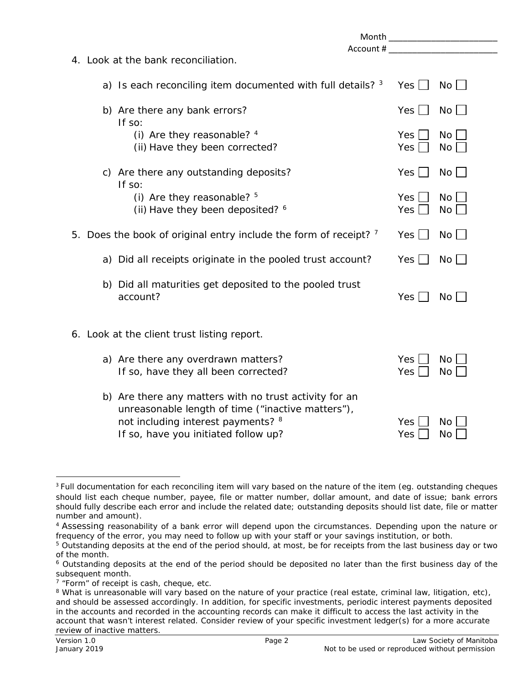| Month <b>Month Month</b>                                                                                                                                                                  |                                       |  |  |  |
|-------------------------------------------------------------------------------------------------------------------------------------------------------------------------------------------|---------------------------------------|--|--|--|
|                                                                                                                                                                                           | Account #                             |  |  |  |
| 4. Look at the bank reconciliation.                                                                                                                                                       |                                       |  |  |  |
| a) Is each reconciling item documented with full details? 3                                                                                                                               | No<br>Yes                             |  |  |  |
| b) Are there any bank errors?<br>If so:                                                                                                                                                   | $No$ $\Box$<br>Yes                    |  |  |  |
| (i) Are they reasonable? 4<br>(ii) Have they been corrected?                                                                                                                              | Yes  <br>No<br>Yes<br>No <sub>1</sub> |  |  |  |
| c) Are there any outstanding deposits?<br>If so:                                                                                                                                          | $No$    <br>Yes                       |  |  |  |
| (i) Are they reasonable? $5$<br>(ii) Have they been deposited? 6                                                                                                                          | No<br>Yes  <br>Yes<br>$No$            |  |  |  |
| 5. Does the book of original entry include the form of receipt? 7                                                                                                                         | $No \Box$<br>Yes                      |  |  |  |
| a) Did all receipts originate in the pooled trust account?                                                                                                                                | $No \Box$<br>Yes                      |  |  |  |
| b) Did all maturities get deposited to the pooled trust<br>account?                                                                                                                       | Yes<br>$No$ $\Box$                    |  |  |  |
| 6. Look at the client trust listing report.                                                                                                                                               |                                       |  |  |  |
| a) Are there any overdrawn matters?<br>If so, have they all been corrected?                                                                                                               | <b>Yes</b><br>No<br>Yes<br><b>No</b>  |  |  |  |
| b) Are there any matters with no trust activity for an<br>unreasonable length of time ("inactive matters"),<br>not including interest payments? 8<br>If so, have you initiated follow up? | <b>No</b><br>Yes<br>Yes<br><b>No</b>  |  |  |  |

<span id="page-1-0"></span><sup>&</sup>lt;sup>3</sup> Full documentation for each reconciling item will vary based on the nature of the item (eq. outstanding cheques should list each cheque number, payee, file or matter number, dollar amount, and date of issue; bank errors should fully describe each error and include the related date; outstanding deposits should list date, file or matter number and amount).

<span id="page-1-1"></span><sup>4</sup> Assessing reasonability of a bank error will depend upon the circumstances. Depending upon the nature or frequency of the error, you may need to follow up with your staff or your savings institution, or both.

<span id="page-1-2"></span><sup>&</sup>lt;sup>5</sup> Outstanding deposits at the end of the period should, at most, be for receipts from the last business day or two of the month.

<span id="page-1-3"></span><sup>&</sup>lt;sup>6</sup> Outstanding deposits at the end of the period should be deposited no later than the first business day of the subsequent month.

<span id="page-1-4"></span><sup>&</sup>lt;sup>7</sup> "Form" of receipt is cash, cheque, etc.

<span id="page-1-5"></span><sup>&</sup>lt;sup>8</sup> What is unreasonable will vary based on the nature of your practice (real estate, criminal law, litigation, etc), and should be assessed accordingly. In addition, for specific investments, periodic interest payments deposited in the accounts and recorded in the accounting records can make it difficult to access the last activity in the account that wasn't interest related. Consider review of your specific investment ledger(s) for a more accurate review of inactive matters.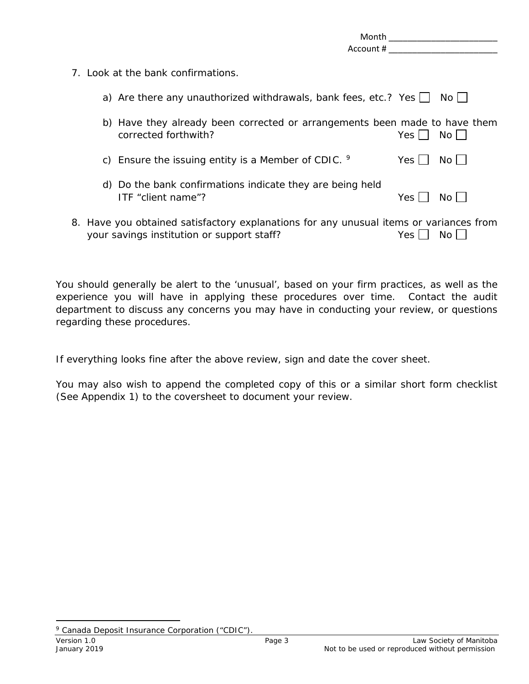|  | Month<br>Account #                                                                                                                   |       |       |
|--|--------------------------------------------------------------------------------------------------------------------------------------|-------|-------|
|  | 7. Look at the bank confirmations.                                                                                                   |       |       |
|  | a) Are there any unauthorized withdrawals, bank fees, etc.? Yes $\Box$                                                               |       | No II |
|  | b) Have they already been corrected or arrangements been made to have them<br>corrected forthwith?                                   | Yes   | No L  |
|  | c) Ensure the issuing entity is a Member of CDIC. $9$                                                                                | Yes   | No    |
|  | d) Do the bank confirmations indicate they are being held<br>ITF "client name"?                                                      | Yes I | No l  |
|  | 8. Have you obtained satisfactory explanations for any unusual items or variances from<br>your savings institution or support staff? | Yes.  | No.   |

You should generally be alert to the 'unusual', based on your firm practices, as well as the experience you will have in applying these procedures over time. Contact the audit department to discuss any concerns you may have in conducting your review, or questions regarding these procedures.

If everything looks fine after the above review, sign and date the cover sheet.

You may also wish to append the completed copy of this or a similar short form checklist (See Appendix 1) to the coversheet to document your review.

 $\overline{a}$ 

<span id="page-2-0"></span><sup>&</sup>lt;sup>9</sup> Canada Deposit Insurance Corporation ("CDIC")